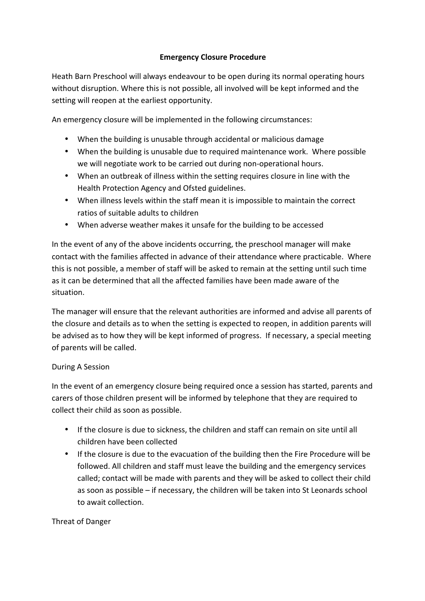## **Emergency Closure Procedure**

Heath Barn Preschool will always endeavour to be open during its normal operating hours without disruption. Where this is not possible, all involved will be kept informed and the setting will reopen at the earliest opportunity.

An emergency closure will be implemented in the following circumstances:

- When the building is unusable through accidental or malicious damage
- When the building is unusable due to required maintenance work. Where possible we will negotiate work to be carried out during non-operational hours.
- When an outbreak of illness within the setting requires closure in line with the Health Protection Agency and Ofsted guidelines.
- When illness levels within the staff mean it is impossible to maintain the correct ratios of suitable adults to children
- When adverse weather makes it unsafe for the building to be accessed

In the event of any of the above incidents occurring, the preschool manager will make contact with the families affected in advance of their attendance where practicable. Where this is not possible, a member of staff will be asked to remain at the setting until such time as it can be determined that all the affected families have been made aware of the situation.

The manager will ensure that the relevant authorities are informed and advise all parents of the closure and details as to when the setting is expected to reopen, in addition parents will be advised as to how they will be kept informed of progress. If necessary, a special meeting of parents will be called.

## During A Session

In the event of an emergency closure being required once a session has started, parents and carers of those children present will be informed by telephone that they are required to collect their child as soon as possible.

- If the closure is due to sickness, the children and staff can remain on site until all children have been collected
- If the closure is due to the evacuation of the building then the Fire Procedure will be followed. All children and staff must leave the building and the emergency services called; contact will be made with parents and they will be asked to collect their child as soon as possible – if necessary, the children will be taken into St Leonards school to await collection.

Threat of Danger